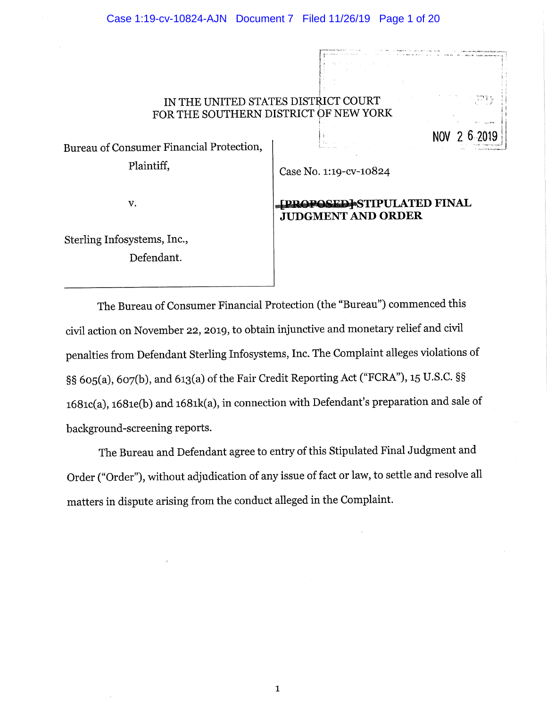### IN THE UNITED STATES DISTRICT COURT FOR THE SOUTHERN DISTRICT OF NEW YORK

Bureau of Consumer Financial Protection, Plaintiff.

Case No. 1:19-cv-10824

v.

## **TPROPOSEDI STIPULATED FINAL JUDGMENT AND ORDER**

**NOV** 

Sterling Infosystems, Inc., Defendant.

The Bureau of Consumer Financial Protection (the "Bureau") commenced this civil action on November 22, 2019, to obtain injunctive and monetary relief and civil penalties from Defendant Sterling Infosystems, Inc. The Complaint alleges violations of §§ 605(a), 607(b), and 613(a) of the Fair Credit Reporting Act ("FCRA"), 15 U.S.C. §§ 1681c(a), 1681e(b) and 1681k(a), in connection with Defendant's preparation and sale of background-screening reports.

The Bureau and Defendant agree to entry of this Stipulated Final Judgment and Order ("Order"), without adjudication of any issue of fact or law, to settle and resolve all matters in dispute arising from the conduct alleged in the Complaint.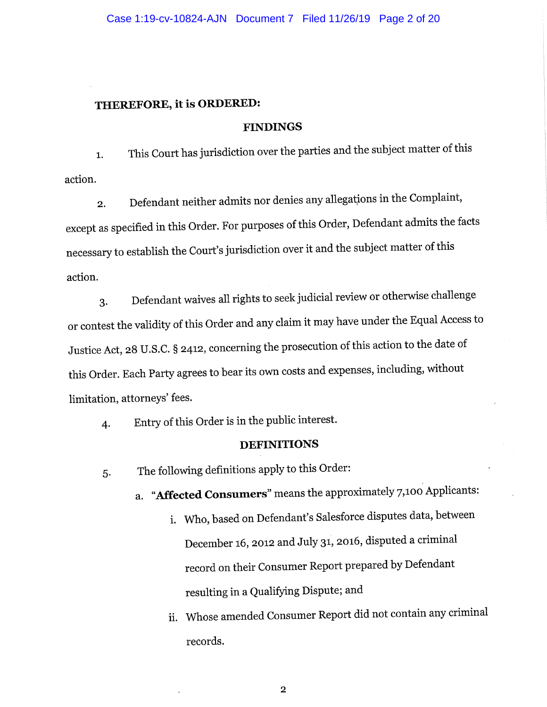## THEREFORE, it is ORDERED:

#### **FINDINGS**

This Court has jurisdiction over the parties and the subject matter of this  $1.$ action.

Defendant neither admits nor denies any allegations in the Complaint,  $\overline{2}$ . except as specified in this Order. For purposes of this Order, Defendant admits the facts necessary to establish the Court's jurisdiction over it and the subject matter of this action.

Defendant waives all rights to seek judicial review or otherwise challenge 3. or contest the validity of this Order and any claim it may have under the Equal Access to Justice Act, 28 U.S.C. § 2412, concerning the prosecution of this action to the date of this Order. Each Party agrees to bear its own costs and expenses, including, without limitation, attorneys' fees.

Entry of this Order is in the public interest. 4.

#### **DEFINITIONS**

The following definitions apply to this Order: 5.

a. "Affected Consumers" means the approximately 7,100 Applicants:

- i. Who, based on Defendant's Salesforce disputes data, between December 16, 2012 and July 31, 2016, disputed a criminal record on their Consumer Report prepared by Defendant resulting in a Qualifying Dispute; and
- ii. Whose amended Consumer Report did not contain any criminal records.

 $\overline{2}$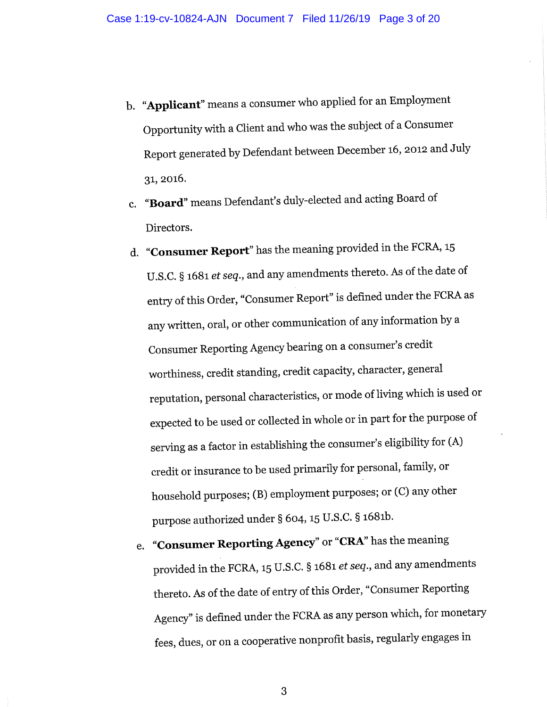- b. "Applicant" means a consumer who applied for an Employment Opportunity with a Client and who was the subject of a Consumer Report generated by Defendant between December 16, 2012 and July 31, 2016.
- c. "Board" means Defendant's duly-elected and acting Board of Directors.
- d. "Consumer Report" has the meaning provided in the FCRA, 15 U.S.C. § 1681 et seq., and any amendments thereto. As of the date of entry of this Order, "Consumer Report" is defined under the FCRA as any written, oral, or other communication of any information by a Consumer Reporting Agency bearing on a consumer's credit worthiness, credit standing, credit capacity, character, general reputation, personal characteristics, or mode of living which is used or expected to be used or collected in whole or in part for the purpose of serving as a factor in establishing the consumer's eligibility for (A) credit or insurance to be used primarily for personal, family, or household purposes; (B) employment purposes; or (C) any other purpose authorized under § 604, 15 U.S.C. § 1681b.
	- e. "Consumer Reporting Agency" or "CRA" has the meaning provided in the FCRA, 15 U.S.C. § 1681 et seq., and any amendments thereto. As of the date of entry of this Order, "Consumer Reporting Agency" is defined under the FCRA as any person which, for monetary fees, dues, or on a cooperative nonprofit basis, regularly engages in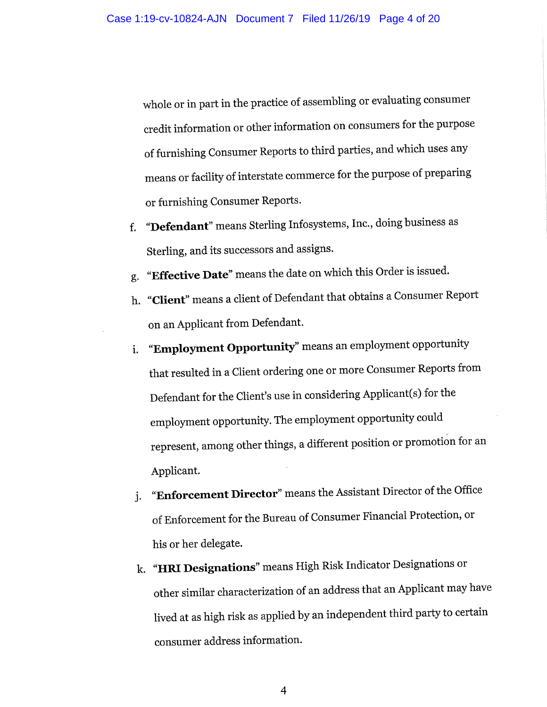whole or in part in the practice of assembling or evaluating consumer credit information or other information on consumers for the purpose of furnishing Consumer Reports to third parties, and which uses any means or facility of interstate commerce for the purpose of preparing or furnishing Consumer Reports.

- "Defendant" means Sterling Infosystems, Inc., doing business as  $f_{\cdot}$ Sterling, and its successors and assigns.
- "Effective Date" means the date on which this Order is issued. g.
- h. "Client" means a client of Defendant that obtains a Consumer Report on an Applicant from Defendant.
- "Employment Opportunity" means an employment opportunity i. that resulted in a Client ordering one or more Consumer Reports from Defendant for the Client's use in considering Applicant(s) for the employment opportunity. The employment opportunity could represent, among other things, a different position or promotion for an Applicant.
- "Enforcement Director" means the Assistant Director of the Office j. of Enforcement for the Bureau of Consumer Financial Protection, or his or her delegate.
- k. "HRI Designations" means High Risk Indicator Designations or other similar characterization of an address that an Applicant may have lived at as high risk as applied by an independent third party to certain consumer address information.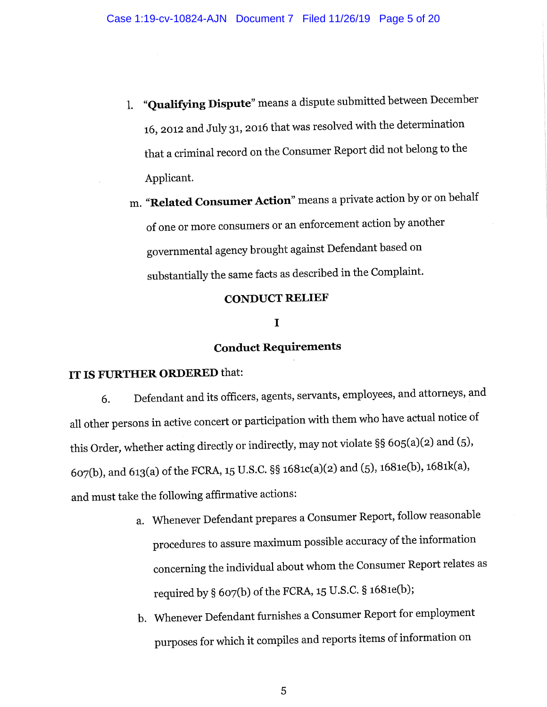- "Qualifying Dispute" means a dispute submitted between December  $\mathbf{1}$ 16, 2012 and July 31, 2016 that was resolved with the determination that a criminal record on the Consumer Report did not belong to the Applicant.
- m. "Related Consumer Action" means a private action by or on behalf of one or more consumers or an enforcement action by another governmental agency brought against Defendant based on substantially the same facts as described in the Complaint.

## **CONDUCT RELIEF**

#### I

# **Conduct Requirements**

## IT IS FURTHER ORDERED that:

Defendant and its officers, agents, servants, employees, and attorneys, and 6. all other persons in active concert or participation with them who have actual notice of this Order, whether acting directly or indirectly, may not violate §§ 605(a)(2) and (5), 607(b), and 613(a) of the FCRA, 15 U.S.C. §§ 1681c(a)(2) and (5), 1681e(b), 1681k(a), and must take the following affirmative actions:

- a. Whenever Defendant prepares a Consumer Report, follow reasonable procedures to assure maximum possible accuracy of the information concerning the individual about whom the Consumer Report relates as required by § 607(b) of the FCRA, 15 U.S.C. § 1681e(b);
- b. Whenever Defendant furnishes a Consumer Report for employment purposes for which it compiles and reports items of information on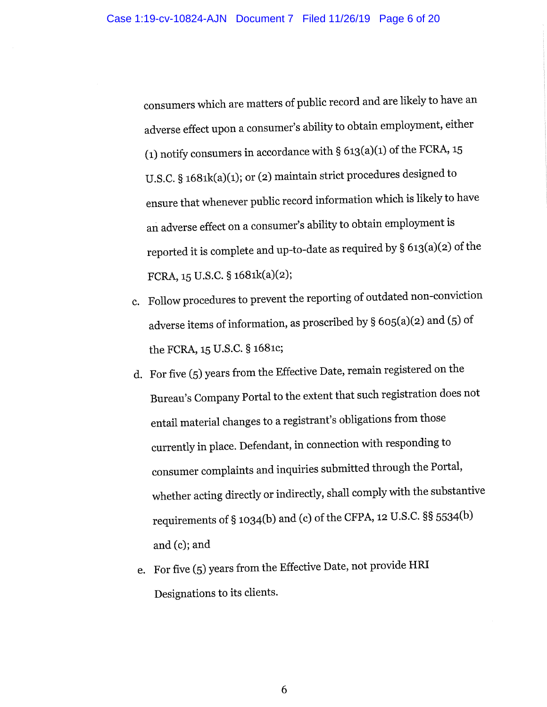consumers which are matters of public record and are likely to have an adverse effect upon a consumer's ability to obtain employment, either (1) notify consumers in accordance with  $\S$  613(a)(1) of the FCRA, 15 U.S.C. § 1681k(a)(1); or (2) maintain strict procedures designed to ensure that whenever public record information which is likely to have an adverse effect on a consumer's ability to obtain employment is reported it is complete and up-to-date as required by § 613(a)(2) of the FCRA, 15 U.S.C. § 1681k(a)(2);

- c. Follow procedures to prevent the reporting of outdated non-conviction adverse items of information, as proscribed by § 605(a)(2) and (5) of the FCRA, 15 U.S.C. § 1681c;
- d. For five (5) years from the Effective Date, remain registered on the Bureau's Company Portal to the extent that such registration does not entail material changes to a registrant's obligations from those currently in place. Defendant, in connection with responding to consumer complaints and inquiries submitted through the Portal, whether acting directly or indirectly, shall comply with the substantive requirements of § 1034(b) and (c) of the CFPA, 12 U.S.C. §§ 5534(b) and  $(c)$ ; and
- e. For five (5) years from the Effective Date, not provide HRI Designations to its clients.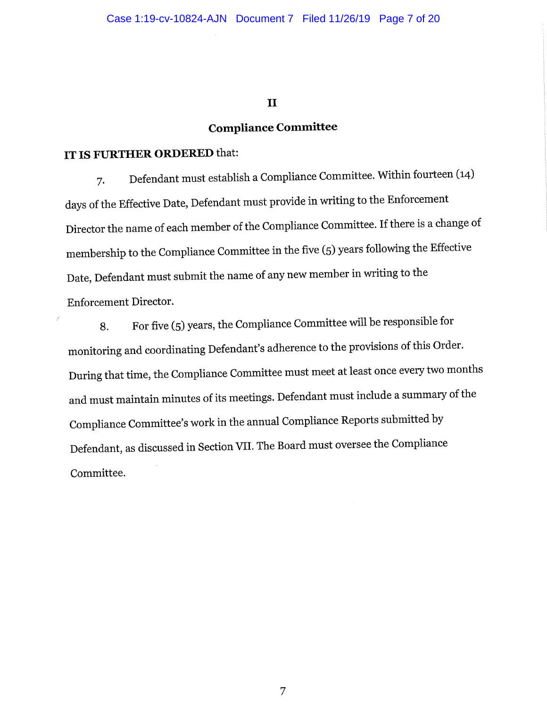$\mathbf{I}$ 

# **Compliance Committee**

# IT IS FURTHER ORDERED that:

Defendant must establish a Compliance Committee. Within fourteen (14) 7. days of the Effective Date, Defendant must provide in writing to the Enforcement Director the name of each member of the Compliance Committee. If there is a change of membership to the Compliance Committee in the five (5) years following the Effective Date, Defendant must submit the name of any new member in writing to the **Enforcement Director.** 

For five (5) years, the Compliance Committee will be responsible for 8. monitoring and coordinating Defendant's adherence to the provisions of this Order. During that time, the Compliance Committee must meet at least once every two months and must maintain minutes of its meetings. Defendant must include a summary of the Compliance Committee's work in the annual Compliance Reports submitted by Defendant, as discussed in Section VII. The Board must oversee the Compliance Committee.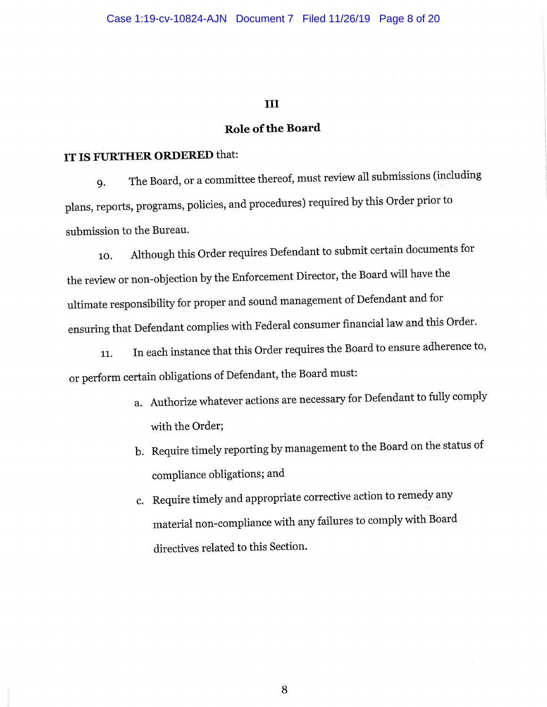## III

## Role of the Board

# IT IS FURTHER ORDERED that:

The Board, or a committee thereof, must review all submissions (including **q.** plans, reports, programs, policies, and procedures) required by this Order prior to submission to the Bureau.

Although this Order requires Defendant to submit certain documents for 10. the review or non-objection by the Enforcement Director, the Board will have the ultimate responsibility for proper and sound management of Defendant and for ensuring that Defendant complies with Federal consumer financial law and this Order.

In each instance that this Order requires the Board to ensure adherence to, 11. or perform certain obligations of Defendant, the Board must:

- a. Authorize whatever actions are necessary for Defendant to fully comply with the Order;
- b. Require timely reporting by management to the Board on the status of compliance obligations; and
- c. Require timely and appropriate corrective action to remedy any material non-compliance with any failures to comply with Board directives related to this Section.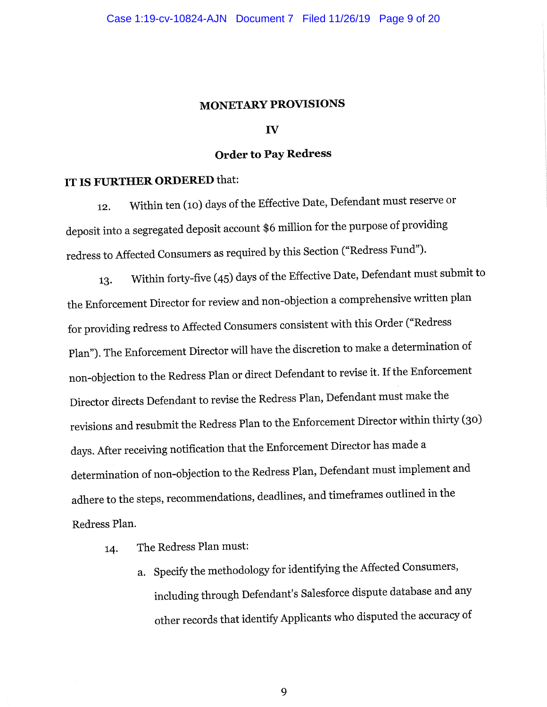#### **MONETARY PROVISIONS**

#### $\mathbf{v}$

#### **Order to Pay Redress**

## IT IS FURTHER ORDERED that:

Within ten (10) days of the Effective Date, Defendant must reserve or 12. deposit into a segregated deposit account \$6 million for the purpose of providing redress to Affected Consumers as required by this Section ("Redress Fund").

Within forty-five (45) days of the Effective Date, Defendant must submit to 13. the Enforcement Director for review and non-objection a comprehensive written plan for providing redress to Affected Consumers consistent with this Order ("Redress Plan"). The Enforcement Director will have the discretion to make a determination of non-objection to the Redress Plan or direct Defendant to revise it. If the Enforcement Director directs Defendant to revise the Redress Plan, Defendant must make the revisions and resubmit the Redress Plan to the Enforcement Director within thirty (30) days. After receiving notification that the Enforcement Director has made a determination of non-objection to the Redress Plan, Defendant must implement and adhere to the steps, recommendations, deadlines, and timeframes outlined in the Redress Plan.

- The Redress Plan must: 14.
	- a. Specify the methodology for identifying the Affected Consumers, including through Defendant's Salesforce dispute database and any other records that identify Applicants who disputed the accuracy of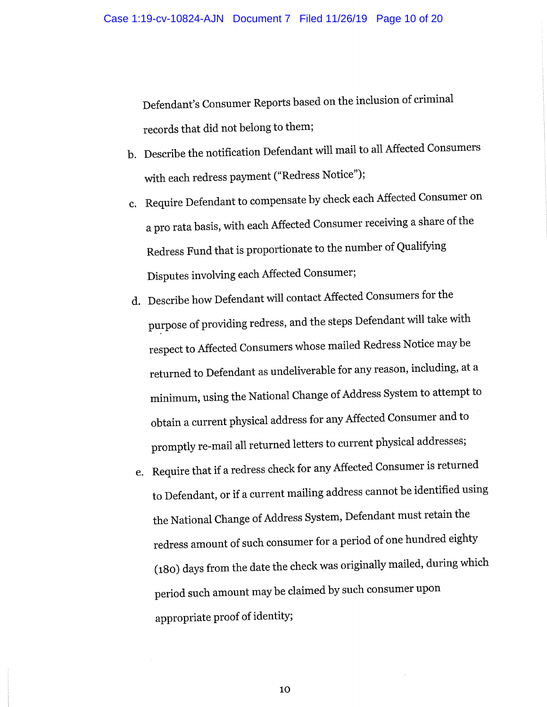Defendant's Consumer Reports based on the inclusion of criminal records that did not belong to them;

- b. Describe the notification Defendant will mail to all Affected Consumers with each redress payment ("Redress Notice");
- c. Require Defendant to compensate by check each Affected Consumer on a pro rata basis, with each Affected Consumer receiving a share of the Redress Fund that is proportionate to the number of Qualifying Disputes involving each Affected Consumer;
- d. Describe how Defendant will contact Affected Consumers for the purpose of providing redress, and the steps Defendant will take with respect to Affected Consumers whose mailed Redress Notice may be returned to Defendant as undeliverable for any reason, including, at a minimum, using the National Change of Address System to attempt to obtain a current physical address for any Affected Consumer and to promptly re-mail all returned letters to current physical addresses;
- e. Require that if a redress check for any Affected Consumer is returned to Defendant, or if a current mailing address cannot be identified using the National Change of Address System, Defendant must retain the redress amount of such consumer for a period of one hundred eighty (180) days from the date the check was originally mailed, during which period such amount may be claimed by such consumer upon appropriate proof of identity;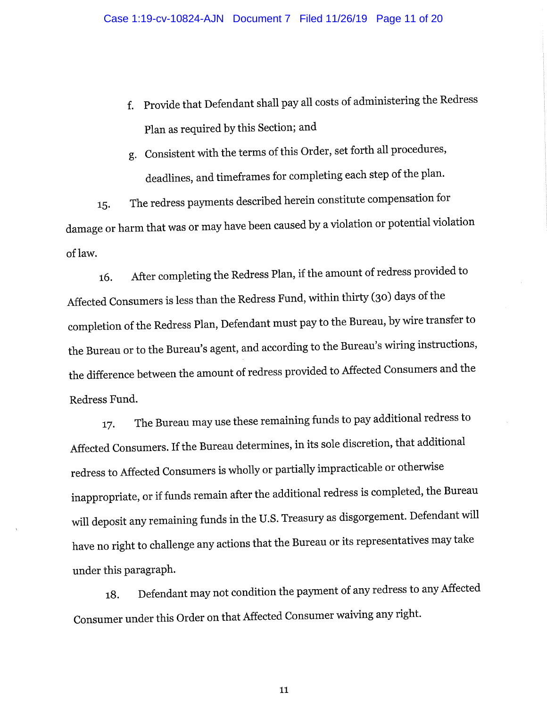- Provide that Defendant shall pay all costs of administering the Redress  $f_{\tau}$ Plan as required by this Section; and
- g. Consistent with the terms of this Order, set forth all procedures, deadlines, and timeframes for completing each step of the plan.

The redress payments described herein constitute compensation for 15. damage or harm that was or may have been caused by a violation or potential violation of law.

After completing the Redress Plan, if the amount of redress provided to 16. Affected Consumers is less than the Redress Fund, within thirty (30) days of the completion of the Redress Plan, Defendant must pay to the Bureau, by wire transfer to the Bureau or to the Bureau's agent, and according to the Bureau's wiring instructions, the difference between the amount of redress provided to Affected Consumers and the Redress Fund.

The Bureau may use these remaining funds to pay additional redress to 17. Affected Consumers. If the Bureau determines, in its sole discretion, that additional redress to Affected Consumers is wholly or partially impracticable or otherwise inappropriate, or if funds remain after the additional redress is completed, the Bureau will deposit any remaining funds in the U.S. Treasury as disgorgement. Defendant will have no right to challenge any actions that the Bureau or its representatives may take under this paragraph.

Defendant may not condition the payment of any redress to any Affected 18. Consumer under this Order on that Affected Consumer waiving any right.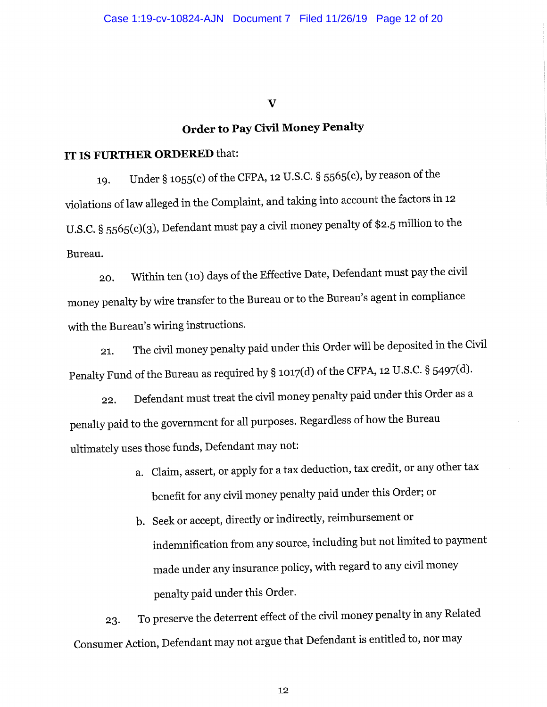$\overline{\mathbf{V}}$ 

# **Order to Pay Civil Money Penalty**

### IT IS FURTHER ORDERED that:

Under § 1055(c) of the CFPA, 12 U.S.C. § 5565(c), by reason of the 19. violations of law alleged in the Complaint, and taking into account the factors in 12 U.S.C. § 5565(c)(3), Defendant must pay a civil money penalty of \$2.5 million to the Bureau.

Within ten (10) days of the Effective Date, Defendant must pay the civil 20. money penalty by wire transfer to the Bureau or to the Bureau's agent in compliance with the Bureau's wiring instructions.

The civil money penalty paid under this Order will be deposited in the Civil 21. Penalty Fund of the Bureau as required by § 1017(d) of the CFPA, 12 U.S.C. § 5497(d).

Defendant must treat the civil money penalty paid under this Order as a 22. penalty paid to the government for all purposes. Regardless of how the Bureau ultimately uses those funds, Defendant may not:

- a. Claim, assert, or apply for a tax deduction, tax credit, or any other tax benefit for any civil money penalty paid under this Order; or
- b. Seek or accept, directly or indirectly, reimbursement or indemnification from any source, including but not limited to payment made under any insurance policy, with regard to any civil money penalty paid under this Order.

To preserve the deterrent effect of the civil money penalty in any Related 23. Consumer Action, Defendant may not argue that Defendant is entitled to, nor may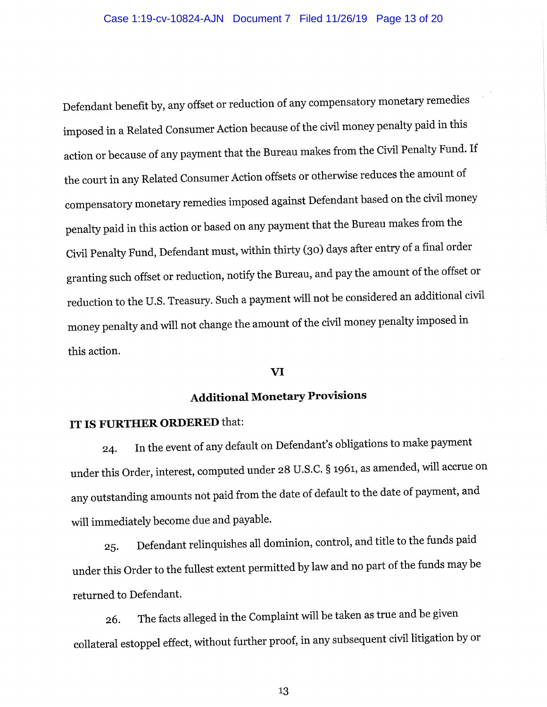Defendant benefit by, any offset or reduction of any compensatory monetary remedies imposed in a Related Consumer Action because of the civil money penalty paid in this action or because of any payment that the Bureau makes from the Civil Penalty Fund. If the court in any Related Consumer Action offsets or otherwise reduces the amount of compensatory monetary remedies imposed against Defendant based on the civil money penalty paid in this action or based on any payment that the Bureau makes from the Civil Penalty Fund, Defendant must, within thirty (30) days after entry of a final order granting such offset or reduction, notify the Bureau, and pay the amount of the offset or reduction to the U.S. Treasury. Such a payment will not be considered an additional civil money penalty and will not change the amount of the civil money penalty imposed in this action.

#### VI

# **Additional Monetary Provisions**

# IT IS FURTHER ORDERED that:

In the event of any default on Defendant's obligations to make payment 24. under this Order, interest, computed under 28 U.S.C. § 1961, as amended, will accrue on any outstanding amounts not paid from the date of default to the date of payment, and will immediately become due and payable.

Defendant relinquishes all dominion, control, and title to the funds paid 25. under this Order to the fullest extent permitted by law and no part of the funds may be returned to Defendant.

The facts alleged in the Complaint will be taken as true and be given 26. collateral estoppel effect, without further proof, in any subsequent civil litigation by or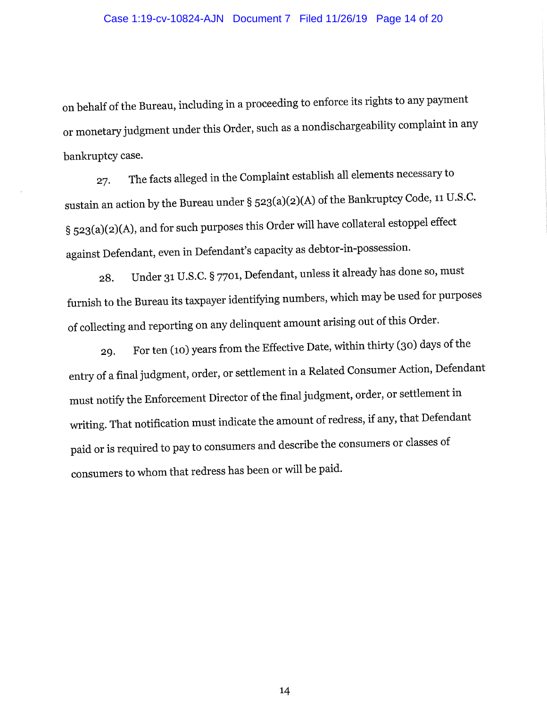#### Case 1:19-cv-10824-AJN Document 7 Filed 11/26/19 Page 14 of 20

on behalf of the Bureau, including in a proceeding to enforce its rights to any payment or monetary judgment under this Order, such as a nondischargeability complaint in any bankruptcy case.

The facts alleged in the Complaint establish all elements necessary to 27. sustain an action by the Bureau under § 523(a)(2)(A) of the Bankruptcy Code, 11 U.S.C. § 523(a)(2)(A), and for such purposes this Order will have collateral estoppel effect against Defendant, even in Defendant's capacity as debtor-in-possession.

Under 31 U.S.C. § 7701, Defendant, unless it already has done so, must 28. furnish to the Bureau its taxpayer identifying numbers, which may be used for purposes of collecting and reporting on any delinquent amount arising out of this Order.

For ten (10) years from the Effective Date, within thirty (30) days of the 29. entry of a final judgment, order, or settlement in a Related Consumer Action, Defendant must notify the Enforcement Director of the final judgment, order, or settlement in writing. That notification must indicate the amount of redress, if any, that Defendant paid or is required to pay to consumers and describe the consumers or classes of consumers to whom that redress has been or will be paid.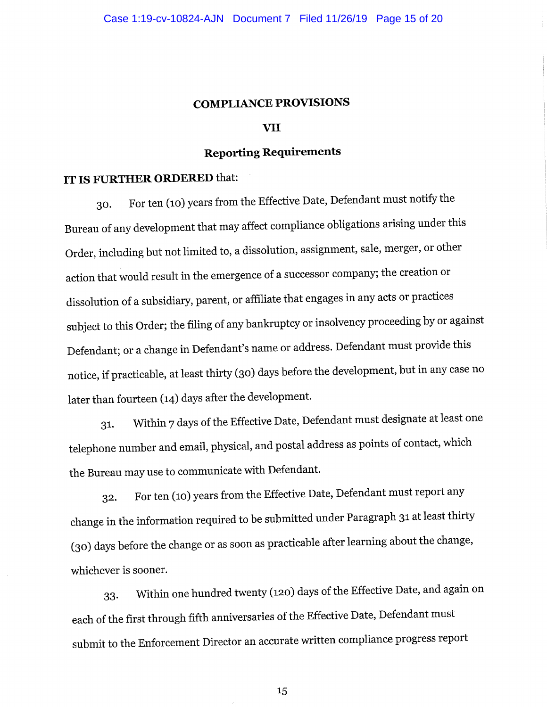#### **COMPLIANCE PROVISIONS**

#### VII

# **Reporting Requirements**

# IT IS FURTHER ORDERED that:

For ten (10) years from the Effective Date, Defendant must notify the 30. Bureau of any development that may affect compliance obligations arising under this Order, including but not limited to, a dissolution, assignment, sale, merger, or other action that would result in the emergence of a successor company; the creation or dissolution of a subsidiary, parent, or affiliate that engages in any acts or practices subject to this Order; the filing of any bankruptcy or insolvency proceeding by or against Defendant; or a change in Defendant's name or address. Defendant must provide this notice, if practicable, at least thirty (30) days before the development, but in any case no later than fourteen (14) days after the development.

Within 7 days of the Effective Date, Defendant must designate at least one 31. telephone number and email, physical, and postal address as points of contact, which the Bureau may use to communicate with Defendant.

For ten (10) years from the Effective Date, Defendant must report any 32. change in the information required to be submitted under Paragraph 31 at least thirty (30) days before the change or as soon as practicable after learning about the change, whichever is sooner.

Within one hundred twenty (120) days of the Effective Date, and again on 33. each of the first through fifth anniversaries of the Effective Date, Defendant must submit to the Enforcement Director an accurate written compliance progress report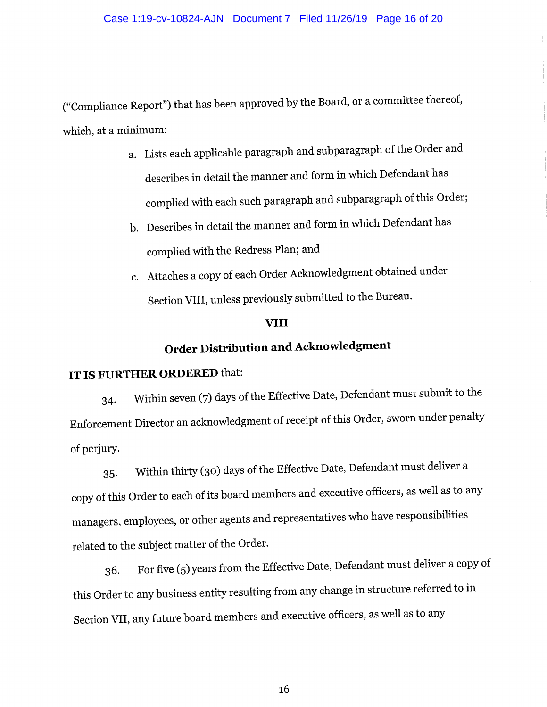("Compliance Report") that has been approved by the Board, or a committee thereof, which, at a minimum:

- a. Lists each applicable paragraph and subparagraph of the Order and describes in detail the manner and form in which Defendant has complied with each such paragraph and subparagraph of this Order;
- b. Describes in detail the manner and form in which Defendant has complied with the Redress Plan; and
- c. Attaches a copy of each Order Acknowledgment obtained under Section VIII, unless previously submitted to the Bureau.

#### **VIII**

# **Order Distribution and Acknowledgment**

# IT IS FURTHER ORDERED that:

Within seven (7) days of the Effective Date, Defendant must submit to the 34. Enforcement Director an acknowledgment of receipt of this Order, sworn under penalty of perjury.

Within thirty (30) days of the Effective Date, Defendant must deliver a  $35.$ copy of this Order to each of its board members and executive officers, as well as to any managers, employees, or other agents and representatives who have responsibilities related to the subject matter of the Order.

For five (5) years from the Effective Date, Defendant must deliver a copy of 36. this Order to any business entity resulting from any change in structure referred to in Section VII, any future board members and executive officers, as well as to any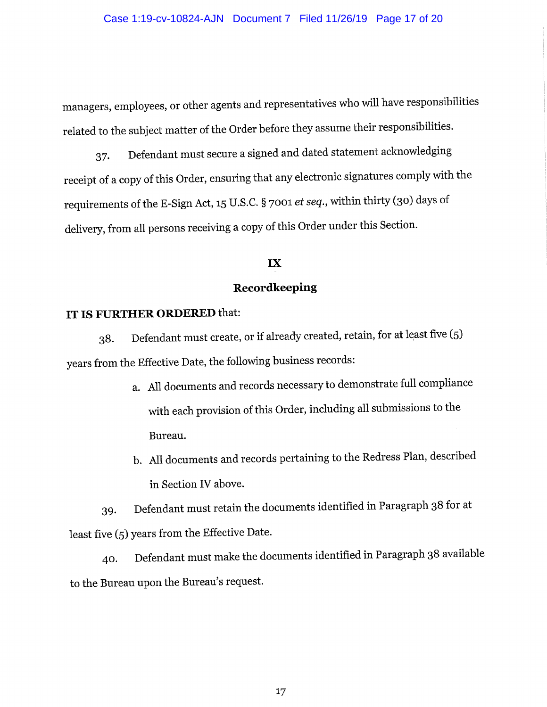managers, employees, or other agents and representatives who will have responsibilities related to the subject matter of the Order before they assume their responsibilities.

Defendant must secure a signed and dated statement acknowledging 37. receipt of a copy of this Order, ensuring that any electronic signatures comply with the requirements of the E-Sign Act, 15 U.S.C. § 7001 et seq., within thirty (30) days of delivery, from all persons receiving a copy of this Order under this Section.

#### IX

## Recordkeeping

## IT IS FURTHER ORDERED that:

Defendant must create, or if already created, retain, for at least five (5) 38. years from the Effective Date, the following business records:

- a. All documents and records necessary to demonstrate full compliance with each provision of this Order, including all submissions to the Bureau.
- b. All documents and records pertaining to the Redress Plan, described in Section IV above.

Defendant must retain the documents identified in Paragraph 38 for at 39. least five (5) years from the Effective Date.

Defendant must make the documents identified in Paragraph 38 available 40. to the Bureau upon the Bureau's request.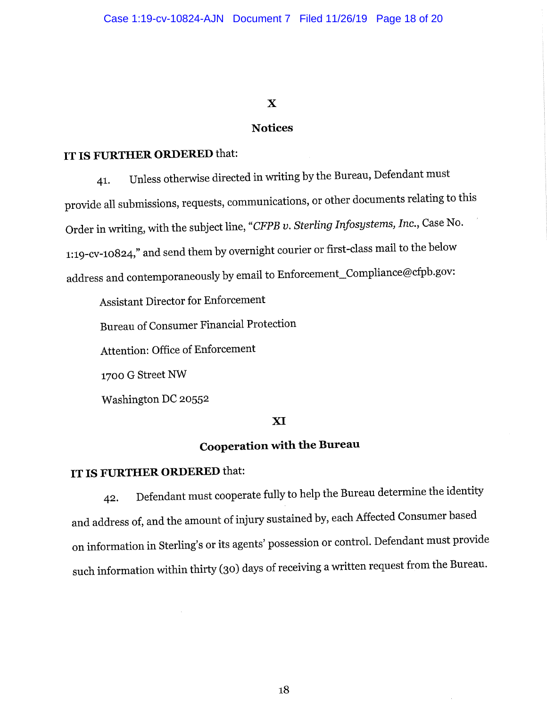## $\mathbf X$

#### **Notices**

### IT IS FURTHER ORDERED that:

Unless otherwise directed in writing by the Bureau, Defendant must 41. provide all submissions, requests, communications, or other documents relating to this Order in writing, with the subject line, "CFPB v. Sterling Infosystems, Inc., Case No. 1:19-cv-10824," and send them by overnight courier or first-class mail to the below address and contemporaneously by email to Enforcement\_Compliance@cfpb.gov:

**Assistant Director for Enforcement** 

Bureau of Consumer Financial Protection

Attention: Office of Enforcement

1700 G Street NW

Washington DC 20552

## XI

# **Cooperation with the Bureau**

# IT IS FURTHER ORDERED that:

Defendant must cooperate fully to help the Bureau determine the identity 42. and address of, and the amount of injury sustained by, each Affected Consumer based on information in Sterling's or its agents' possession or control. Defendant must provide such information within thirty (30) days of receiving a written request from the Bureau.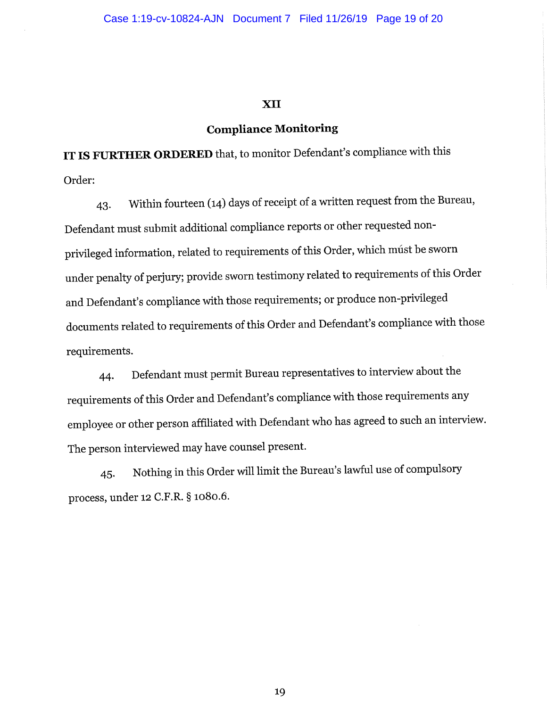#### **XII**

#### **Compliance Monitoring**

IT IS FURTHER ORDERED that, to monitor Defendant's compliance with this Order:

Within fourteen (14) days of receipt of a written request from the Bureau, 43. Defendant must submit additional compliance reports or other requested nonprivileged information, related to requirements of this Order, which múst be sworn under penalty of perjury; provide sworn testimony related to requirements of this Order and Defendant's compliance with those requirements; or produce non-privileged documents related to requirements of this Order and Defendant's compliance with those requirements.

Defendant must permit Bureau representatives to interview about the 44. requirements of this Order and Defendant's compliance with those requirements any employee or other person affiliated with Defendant who has agreed to such an interview. The person interviewed may have counsel present.

Nothing in this Order will limit the Bureau's lawful use of compulsory 45. process, under 12 C.F.R. § 1080.6.